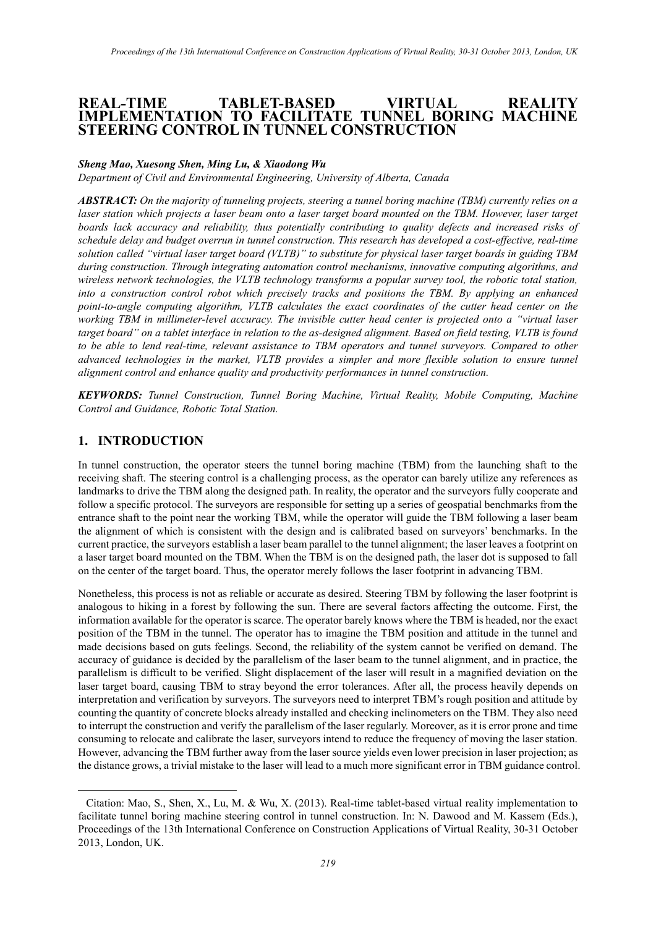# **REAL-TIME TABLET-BASED VIRTUAL REALITY IMPLEMENTATION TO FACILITATE TUNNEL BORING MACHINE STEERING CONTROL IN TUNNEL CONSTRUCTION[1](#page-0-0)**

### *Sheng Mao, Xuesong Shen, Ming Lu, & Xiaodong Wu*

*Department of Civil and Environmental Engineering, University of Alberta, Canada*

*ABSTRACT: On the majority of tunneling projects, steering a tunnel boring machine (TBM) currently relies on a laser station which projects a laser beam onto a laser target board mounted on the TBM. However, laser target boards lack accuracy and reliability, thus potentially contributing to quality defects and increased risks of schedule delay and budget overrun in tunnel construction. This research has developed a cost-effective, real-time solution called "virtual laser target board (VLTB)" to substitute for physical laser target boards in guiding TBM during construction. Through integrating automation control mechanisms, innovative computing algorithms, and wireless network technologies, the VLTB technology transforms a popular survey tool, the robotic total station, into a construction control robot which precisely tracks and positions the TBM. By applying an enhanced point-to-angle computing algorithm, VLTB calculates the exact coordinates of the cutter head center on the working TBM in millimeter-level accuracy. The invisible cutter head center is projected onto a "virtual laser target board" on a tablet interface in relation to the as-designed alignment. Based on field testing, VLTB is found to be able to lend real-time, relevant assistance to TBM operators and tunnel surveyors. Compared to other advanced technologies in the market, VLTB provides a simpler and more flexible solution to ensure tunnel alignment control and enhance quality and productivity performances in tunnel construction.*

*KEYWORDS: Tunnel Construction, Tunnel Boring Machine, Virtual Reality, Mobile Computing, Machine Control and Guidance, Robotic Total Station.*

## **1. INTRODUCTION**

-

In tunnel construction, the operator steers the tunnel boring machine (TBM) from the launching shaft to the receiving shaft. The steering control is a challenging process, as the operator can barely utilize any references as landmarks to drive the TBM along the designed path. In reality, the operator and the surveyors fully cooperate and follow a specific protocol. The surveyors are responsible for setting up a series of geospatial benchmarks from the entrance shaft to the point near the working TBM, while the operator will guide the TBM following a laser beam the alignment of which is consistent with the design and is calibrated based on surveyors' benchmarks. In the current practice, the surveyors establish a laser beam parallel to the tunnel alignment; the laser leaves a footprint on a laser target board mounted on the TBM. When the TBM is on the designed path, the laser dot is supposed to fall on the center of the target board. Thus, the operator merely follows the laser footprint in advancing TBM.

Nonetheless, this process is not as reliable or accurate as desired. Steering TBM by following the laser footprint is analogous to hiking in a forest by following the sun. There are several factors affecting the outcome. First, the information available for the operator is scarce. The operator barely knows where the TBM is headed, nor the exact position of the TBM in the tunnel. The operator has to imagine the TBM position and attitude in the tunnel and made decisions based on guts feelings. Second, the reliability of the system cannot be verified on demand. The accuracy of guidance is decided by the parallelism of the laser beam to the tunnel alignment, and in practice, the parallelism is difficult to be verified. Slight displacement of the laser will result in a magnified deviation on the laser target board, causing TBM to stray beyond the error tolerances. After all, the process heavily depends on interpretation and verification by surveyors. The surveyors need to interpret TBM's rough position and attitude by counting the quantity of concrete blocks already installed and checking inclinometers on the TBM. They also need to interrupt the construction and verify the parallelism of the laser regularly. Moreover, as it is error prone and time consuming to relocate and calibrate the laser, surveyors intend to reduce the frequency of moving the laser station. However, advancing the TBM further away from the laser source yields even lower precision in laser projection; as the distance grows, a trivial mistake to the laser will lead to a much more significant error in TBM guidance control.

<span id="page-0-0"></span><sup>1</sup> Citation: Mao, S., Shen, X., Lu, M. & Wu, X. (2013). Real-time tablet-based virtual reality implementation to facilitate tunnel boring machine steering control in tunnel construction. In: N. Dawood and M. Kassem (Eds.), Proceedings of the 13th International Conference on Construction Applications of Virtual Reality, 30-31 October 2013, London, UK.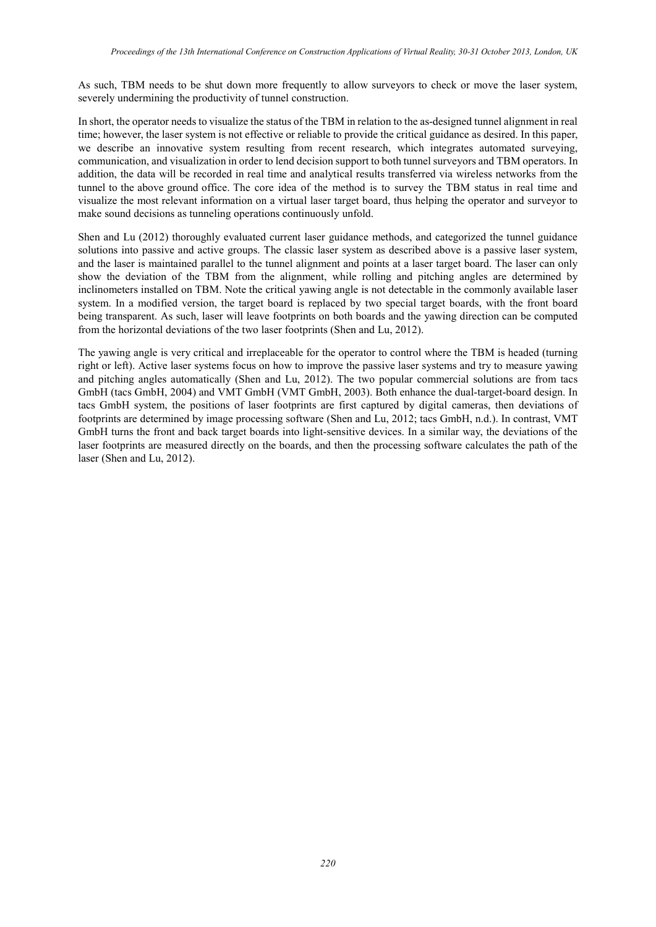As such, TBM needs to be shut down more frequently to allow surveyors to check or move the laser system, severely undermining the productivity of tunnel construction.

In short, the operator needs to visualize the status of the TBM in relation to the as-designed tunnel alignment in real time; however, the laser system is not effective or reliable to provide the critical guidance as desired. In this paper, we describe an innovative system resulting from recent research, which integrates automated surveying, communication, and visualization in order to lend decision support to both tunnel surveyors and TBM operators. In addition, the data will be recorded in real time and analytical results transferred via wireless networks from the tunnel to the above ground office. The core idea of the method is to survey the TBM status in real time and visualize the most relevant information on a virtual laser target board, thus helping the operator and surveyor to make sound decisions as tunneling operations continuously unfold.

Shen and Lu (2012) thoroughly evaluated current laser guidance methods, and categorized the tunnel guidance solutions into passive and active groups. The classic laser system as described above is a passive laser system, and the laser is maintained parallel to the tunnel alignment and points at a laser target board. The laser can only show the deviation of the TBM from the alignment, while rolling and pitching angles are determined by inclinometers installed on TBM. Note the critical yawing angle is not detectable in the commonly available laser system. In a modified version, the target board is replaced by two special target boards, with the front board being transparent. As such, laser will leave footprints on both boards and the yawing direction can be computed from the horizontal deviations of the two laser footprints (Shen and Lu, 2012).

The yawing angle is very critical and irreplaceable for the operator to control where the TBM is headed (turning right or left). Active laser systems focus on how to improve the passive laser systems and try to measure yawing and pitching angles automatically (Shen and Lu, 2012). The two popular commercial solutions are from tacs GmbH (tacs GmbH, 2004) and VMT GmbH (VMT GmbH, 2003). Both enhance the dual-target-board design. In tacs GmbH system, the positions of laser footprints are first captured by digital cameras, then deviations of footprints are determined by image processing software (Shen and Lu, 2012; tacs GmbH, n.d.). In contrast, VMT GmbH turns the front and back target boards into light-sensitive devices. In a similar way, the deviations of the laser footprints are measured directly on the boards, and then the processing software calculates the path of the laser (Shen and Lu, 2012).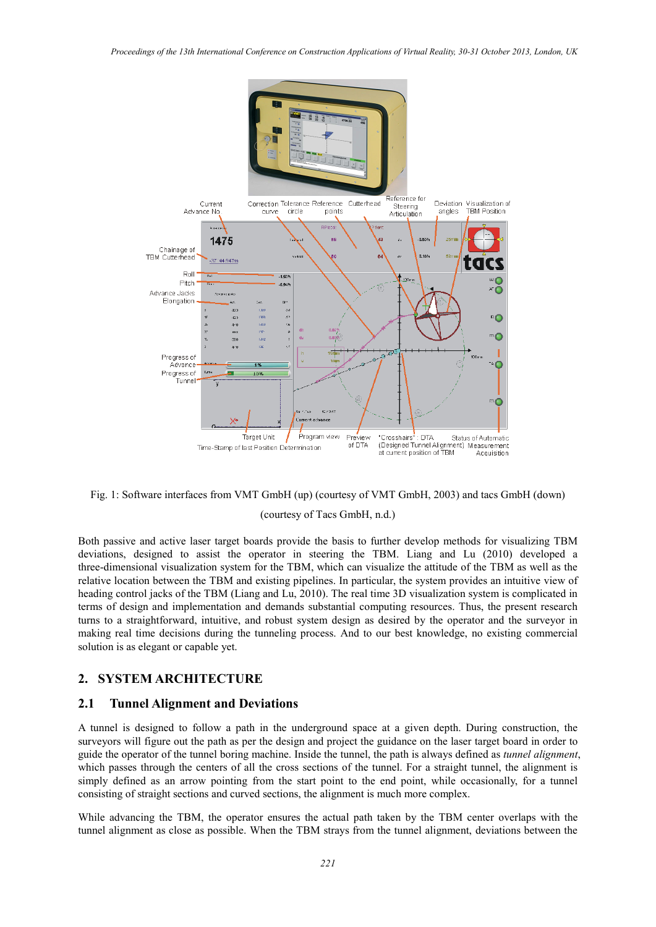

Fig. 1: Software interfaces from VMT GmbH (up) (courtesy of VMT GmbH, 2003) and tacs GmbH (down) (courtesy of Tacs GmbH, n.d.)

Both passive and active laser target boards provide the basis to further develop methods for visualizing TBM deviations, designed to assist the operator in steering the TBM. Liang and Lu (2010) developed a three-dimensional visualization system for the TBM, which can visualize the attitude of the TBM as well as the relative location between the TBM and existing pipelines. In particular, the system provides an intuitive view of heading control jacks of the TBM (Liang and Lu, 2010). The real time 3D visualization system is complicated in terms of design and implementation and demands substantial computing resources. Thus, the present research turns to a straightforward, intuitive, and robust system design as desired by the operator and the surveyor in making real time decisions during the tunneling process. And to our best knowledge, no existing commercial solution is as elegant or capable yet.

### **2. SYSTEM ARCHITECTURE**

### **2.1 Tunnel Alignment and Deviations**

A tunnel is designed to follow a path in the underground space at a given depth. During construction, the surveyors will figure out the path as per the design and project the guidance on the laser target board in order to guide the operator of the tunnel boring machine. Inside the tunnel, the path is always defined as *tunnel alignment*, which passes through the centers of all the cross sections of the tunnel. For a straight tunnel, the alignment is simply defined as an arrow pointing from the start point to the end point, while occasionally, for a tunnel consisting of straight sections and curved sections, the alignment is much more complex.

While advancing the TBM, the operator ensures the actual path taken by the TBM center overlaps with the tunnel alignment as close as possible. When the TBM strays from the tunnel alignment, deviations between the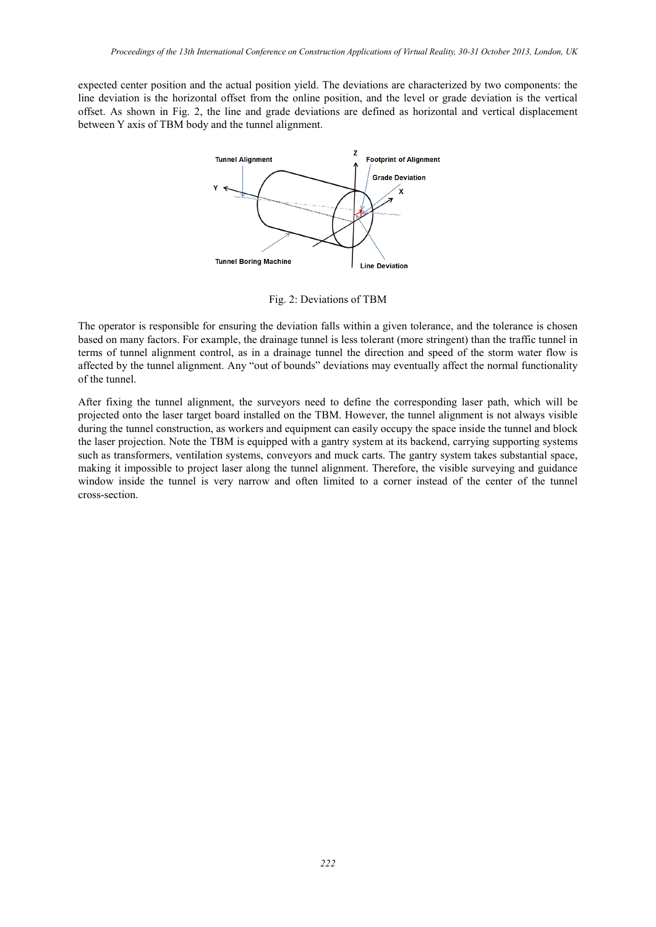expected center position and the actual position yield. The deviations are characterized by two components: the line deviation is the horizontal offset from the online position, and the level or grade deviation is the vertical offset. As shown in Fig. 2, the line and grade deviations are defined as horizontal and vertical displacement between Y axis of TBM body and the tunnel alignment.



Fig. 2: Deviations of TBM

The operator is responsible for ensuring the deviation falls within a given tolerance, and the tolerance is chosen based on many factors. For example, the drainage tunnel is less tolerant (more stringent) than the traffic tunnel in terms of tunnel alignment control, as in a drainage tunnel the direction and speed of the storm water flow is affected by the tunnel alignment. Any "out of bounds" deviations may eventually affect the normal functionality of the tunnel.

After fixing the tunnel alignment, the surveyors need to define the corresponding laser path, which will be projected onto the laser target board installed on the TBM. However, the tunnel alignment is not always visible during the tunnel construction, as workers and equipment can easily occupy the space inside the tunnel and block the laser projection. Note the TBM is equipped with a gantry system at its backend, carrying supporting systems such as transformers, ventilation systems, conveyors and muck carts. The gantry system takes substantial space, making it impossible to project laser along the tunnel alignment. Therefore, the visible surveying and guidance window inside the tunnel is very narrow and often limited to a corner instead of the center of the tunnel cross-section.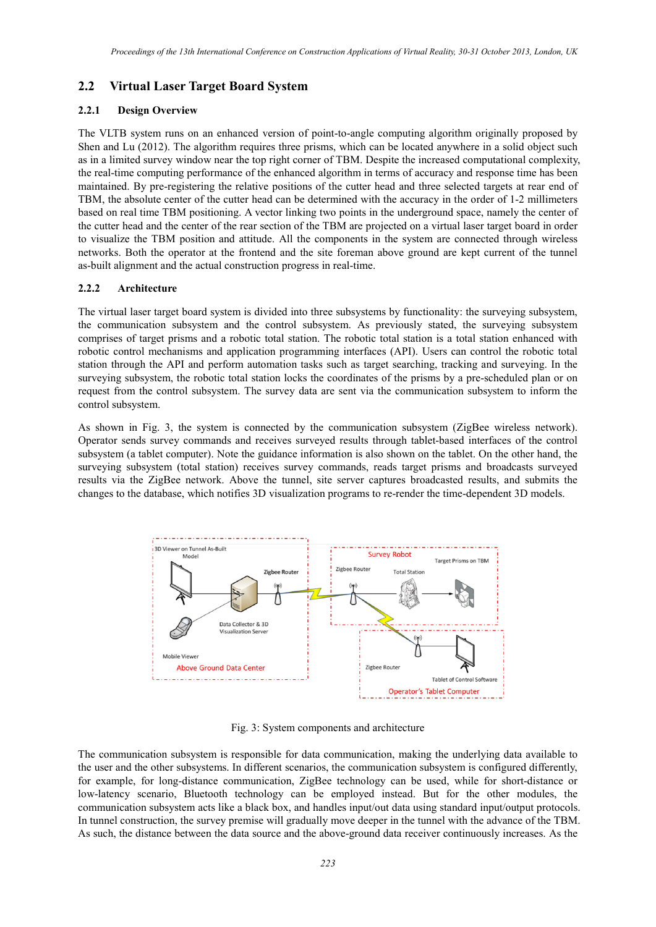# **2.2 Virtual Laser Target Board System**

### **2.2.1 Design Overview**

The VLTB system runs on an enhanced version of point-to-angle computing algorithm originally proposed by Shen and Lu (2012). The algorithm requires three prisms, which can be located anywhere in a solid object such as in a limited survey window near the top right corner of TBM. Despite the increased computational complexity, the real-time computing performance of the enhanced algorithm in terms of accuracy and response time has been maintained. By pre-registering the relative positions of the cutter head and three selected targets at rear end of TBM, the absolute center of the cutter head can be determined with the accuracy in the order of 1-2 millimeters based on real time TBM positioning. A vector linking two points in the underground space, namely the center of the cutter head and the center of the rear section of the TBM are projected on a virtual laser target board in order to visualize the TBM position and attitude. All the components in the system are connected through wireless networks. Both the operator at the frontend and the site foreman above ground are kept current of the tunnel as-built alignment and the actual construction progress in real-time.

#### **2.2.2 Architecture**

The virtual laser target board system is divided into three subsystems by functionality: the surveying subsystem, the communication subsystem and the control subsystem. As previously stated, the surveying subsystem comprises of target prisms and a robotic total station. The robotic total station is a total station enhanced with robotic control mechanisms and application programming interfaces (API). Users can control the robotic total station through the API and perform automation tasks such as target searching, tracking and surveying. In the surveying subsystem, the robotic total station locks the coordinates of the prisms by a pre-scheduled plan or on request from the control subsystem. The survey data are sent via the communication subsystem to inform the control subsystem.

As shown in Fig. 3, the system is connected by the communication subsystem (ZigBee wireless network). Operator sends survey commands and receives surveyed results through tablet-based interfaces of the control subsystem (a tablet computer). Note the guidance information is also shown on the tablet. On the other hand, the surveying subsystem (total station) receives survey commands, reads target prisms and broadcasts surveyed results via the ZigBee network. Above the tunnel, site server captures broadcasted results, and submits the changes to the database, which notifies 3D visualization programs to re-render the time-dependent 3D models.



Fig. 3: System components and architecture

The communication subsystem is responsible for data communication, making the underlying data available to the user and the other subsystems. In different scenarios, the communication subsystem is configured differently, for example, for long-distance communication, ZigBee technology can be used, while for short-distance or low-latency scenario, Bluetooth technology can be employed instead. But for the other modules, the communication subsystem acts like a black box, and handles input/out data using standard input/output protocols. In tunnel construction, the survey premise will gradually move deeper in the tunnel with the advance of the TBM. As such, the distance between the data source and the above-ground data receiver continuously increases. As the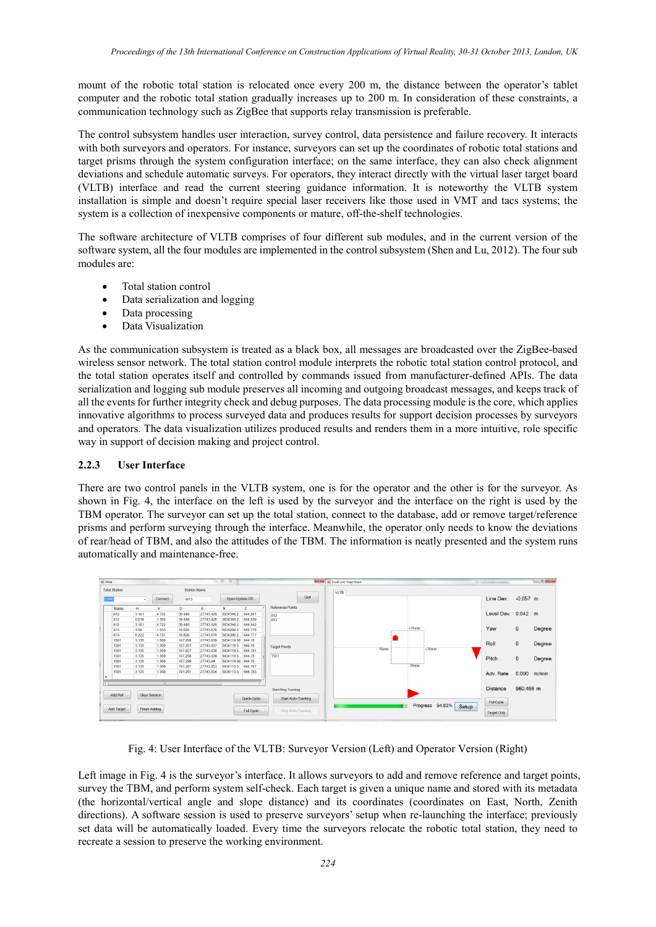mount of the robotic total station is relocated once every 200 m, the distance between the operator's tablet computer and the robotic total station gradually increases up to 200 m. In consideration of these constraints, a communication technology such as ZigBee that supports relay transmission is preferable.

The control subsystem handles user interaction, survey control, data persistence and failure recovery. It interacts with both surveyors and operators. For instance, surveyors can set up the coordinates of robotic total stations and target prisms through the system configuration interface; on the same interface, they can also check alignment deviations and schedule automatic surveys. For operators, they interact directly with the virtual laser target board (VLTB) interface and read the current steering guidance information. It is noteworthy the VLTB system installation is simple and doesn't require special laser receivers like those used in VMT and tacs systems; the system is a collection of inexpensive components or mature, off-the-shelf technologies.

The software architecture of VLTB comprises of four different sub modules, and in the current version of the software system, all the four modules are implemented in the control subsystem (Shen and Lu, 2012). The four sub modules are:

- Total station control
- Data serialization and logging
- Data processing
- Data Visualization

As the communication subsystem is treated as a black box, all messages are broadcasted over the ZigBee-based wireless sensor network. The total station control module interprets the robotic total station control protocol, and the total station operates itself and controlled by commands issued from manufacturer-defined APIs. The data serialization and logging sub module preserves all incoming and outgoing broadcast messages, and keeps track of all the events for further integrity check and debug purposes. The data processing module is the core, which applies innovative algorithms to process surveyed data and produces results for support decision processes by surveyors and operators. The data visualization utilizes produced results and renders them in a more intuitive, role specific way in support of decision making and project control.

#### **2.2.3 User Interface**

There are two control panels in the VLTB system, one is for the operator and the other is for the surveyor. As shown in Fig. 4, the interface on the left is used by the surveyor and the interface on the right is used by the TBM operator. The surveyor can set up the total station, connect to the database, add or remove target/reference prisms and perform surveying through the interface. Meanwhile, the operator only needs to know the deviations of rear/head of TBM, and also the attitudes of the TBM. The information is neatly presented and the system runs automatically and maintenance-free.



Fig. 4: User Interface of the VLTB: Surveyor Version (Left) and Operator Version (Right)

Left image in Fig. 4 is the surveyor's interface. It allows surveyors to add and remove reference and target points, survey the TBM, and perform system self-check. Each target is given a unique name and stored with its metadata (the horizontal/vertical angle and slope distance) and its coordinates (coordinates on East, North, Zenith directions). A software session is used to preserve surveyors' setup when re-launching the interface; previously set data will be automatically loaded. Every time the surveyors relocate the robotic total station, they need to recreate a session to preserve the working environment.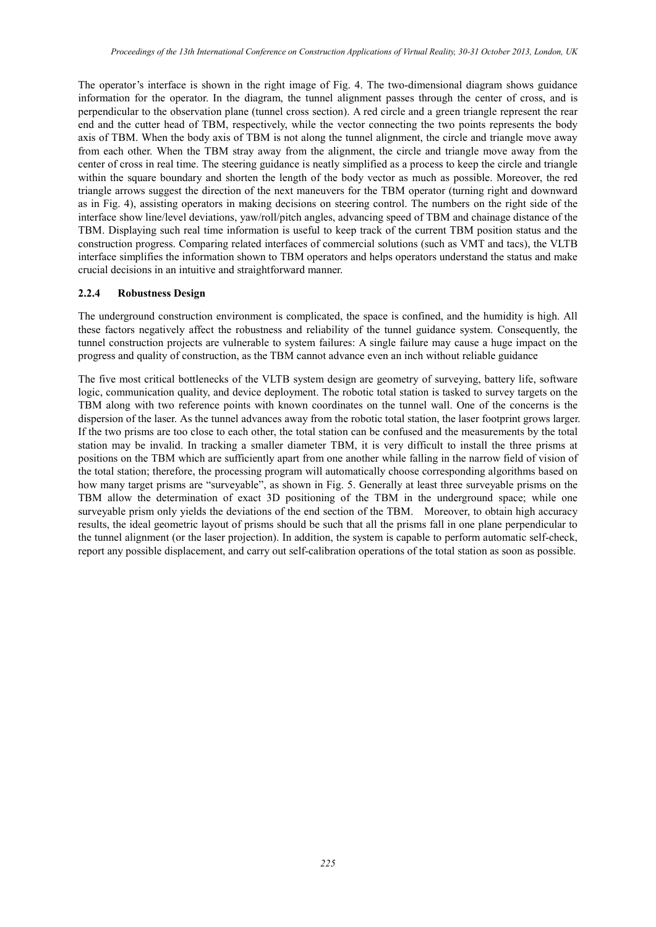The operator's interface is shown in the right image of Fig. 4. The two-dimensional diagram shows guidance information for the operator. In the diagram, the tunnel alignment passes through the center of cross, and is perpendicular to the observation plane (tunnel cross section). A red circle and a green triangle represent the rear end and the cutter head of TBM, respectively, while the vector connecting the two points represents the body axis of TBM. When the body axis of TBM is not along the tunnel alignment, the circle and triangle move away from each other. When the TBM stray away from the alignment, the circle and triangle move away from the center of cross in real time. The steering guidance is neatly simplified as a process to keep the circle and triangle within the square boundary and shorten the length of the body vector as much as possible. Moreover, the red triangle arrows suggest the direction of the next maneuvers for the TBM operator (turning right and downward as in Fig. 4), assisting operators in making decisions on steering control. The numbers on the right side of the interface show line/level deviations, yaw/roll/pitch angles, advancing speed of TBM and chainage distance of the TBM. Displaying such real time information is useful to keep track of the current TBM position status and the construction progress. Comparing related interfaces of commercial solutions (such as VMT and tacs), the VLTB interface simplifies the information shown to TBM operators and helps operators understand the status and make crucial decisions in an intuitive and straightforward manner.

#### **2.2.4 Robustness Design**

The underground construction environment is complicated, the space is confined, and the humidity is high. All these factors negatively affect the robustness and reliability of the tunnel guidance system. Consequently, the tunnel construction projects are vulnerable to system failures: A single failure may cause a huge impact on the progress and quality of construction, as the TBM cannot advance even an inch without reliable guidance

The five most critical bottlenecks of the VLTB system design are geometry of surveying, battery life, software logic, communication quality, and device deployment. The robotic total station is tasked to survey targets on the TBM along with two reference points with known coordinates on the tunnel wall. One of the concerns is the dispersion of the laser. As the tunnel advances away from the robotic total station, the laser footprint grows larger. If the two prisms are too close to each other, the total station can be confused and the measurements by the total station may be invalid. In tracking a smaller diameter TBM, it is very difficult to install the three prisms at positions on the TBM which are sufficiently apart from one another while falling in the narrow field of vision of the total station; therefore, the processing program will automatically choose corresponding algorithms based on how many target prisms are "surveyable", as shown in Fig. 5. Generally at least three surveyable prisms on the TBM allow the determination of exact 3D positioning of the TBM in the underground space; while one surveyable prism only yields the deviations of the end section of the TBM. Moreover, to obtain high accuracy results, the ideal geometric layout of prisms should be such that all the prisms fall in one plane perpendicular to the tunnel alignment (or the laser projection). In addition, the system is capable to perform automatic self-check, report any possible displacement, and carry out self-calibration operations of the total station as soon as possible.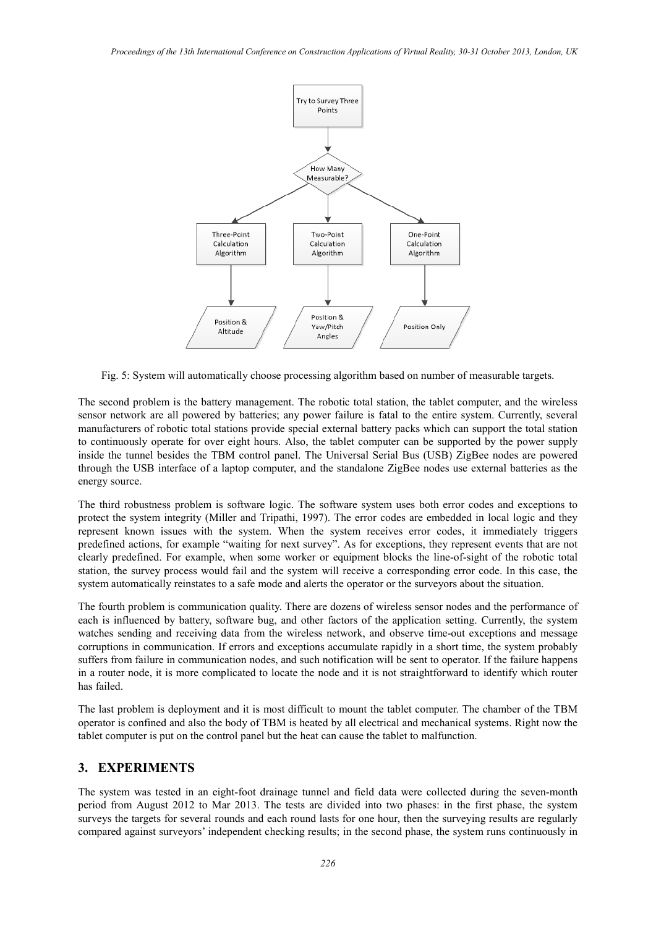

Fig. 5: System will automatically choose processing algorithm based on number of measurable targets.

The second problem is the battery management. The robotic total station, the tablet computer, and the wireless sensor network are all powered by batteries; any power failure is fatal to the entire system. Currently, several manufacturers of robotic total stations provide special external battery packs which can support the total station to continuously operate for over eight hours. Also, the tablet computer can be supported by the power supply inside the tunnel besides the TBM control panel. The Universal Serial Bus (USB) ZigBee nodes are powered through the USB interface of a laptop computer, and the standalone ZigBee nodes use external batteries as the energy source.

The third robustness problem is software logic. The software system uses both error codes and exceptions to protect the system integrity (Miller and Tripathi, 1997). The error codes are embedded in local logic and they represent known issues with the system. When the system receives error codes, it immediately triggers predefined actions, for example "waiting for next survey". As for exceptions, they represent events that are not clearly predefined. For example, when some worker or equipment blocks the line-of-sight of the robotic total station, the survey process would fail and the system will receive a corresponding error code. In this case, the system automatically reinstates to a safe mode and alerts the operator or the surveyors about the situation.

The fourth problem is communication quality. There are dozens of wireless sensor nodes and the performance of each is influenced by battery, software bug, and other factors of the application setting. Currently, the system watches sending and receiving data from the wireless network, and observe time-out exceptions and message corruptions in communication. If errors and exceptions accumulate rapidly in a short time, the system probably suffers from failure in communication nodes, and such notification will be sent to operator. If the failure happens in a router node, it is more complicated to locate the node and it is not straightforward to identify which router has failed.

The last problem is deployment and it is most difficult to mount the tablet computer. The chamber of the TBM operator is confined and also the body of TBM is heated by all electrical and mechanical systems. Right now the tablet computer is put on the control panel but the heat can cause the tablet to malfunction.

### **3. EXPERIMENTS**

The system was tested in an eight-foot drainage tunnel and field data were collected during the seven-month period from August 2012 to Mar 2013. The tests are divided into two phases: in the first phase, the system surveys the targets for several rounds and each round lasts for one hour, then the surveying results are regularly compared against surveyors' independent checking results; in the second phase, the system runs continuously in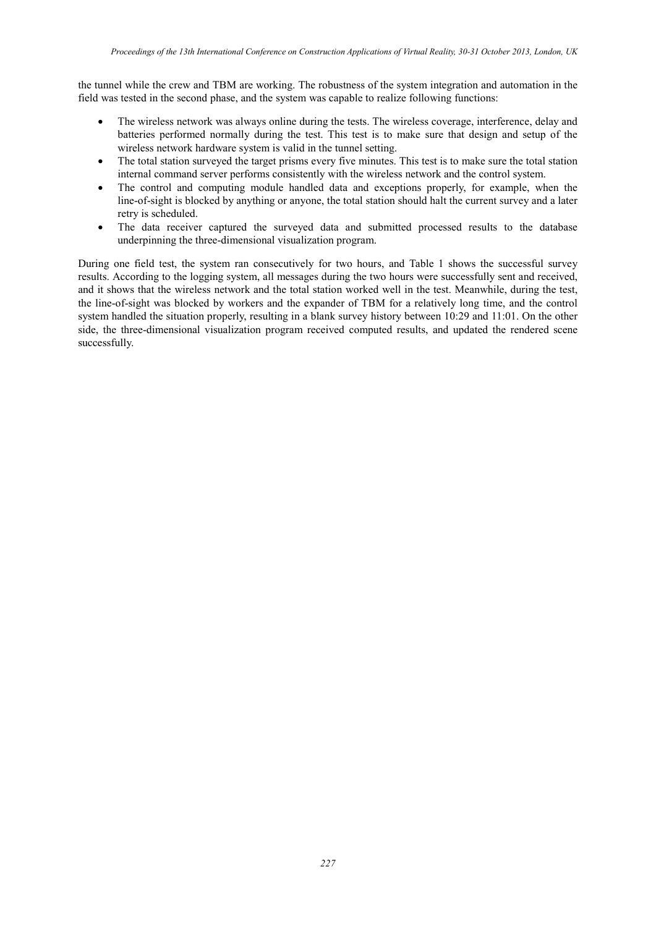the tunnel while the crew and TBM are working. The robustness of the system integration and automation in the field was tested in the second phase, and the system was capable to realize following functions:

- The wireless network was always online during the tests. The wireless coverage, interference, delay and batteries performed normally during the test. This test is to make sure that design and setup of the wireless network hardware system is valid in the tunnel setting.
- The total station surveyed the target prisms every five minutes. This test is to make sure the total station internal command server performs consistently with the wireless network and the control system.
- The control and computing module handled data and exceptions properly, for example, when the line-of-sight is blocked by anything or anyone, the total station should halt the current survey and a later retry is scheduled.
- The data receiver captured the surveyed data and submitted processed results to the database underpinning the three-dimensional visualization program.

During one field test, the system ran consecutively for two hours, and [Table](#page-9-0) 1 shows the successful survey results. According to the logging system, all messages during the two hours were successfully sent and received, and it shows that the wireless network and the total station worked well in the test. Meanwhile, during the test, the line-of-sight was blocked by workers and the expander of TBM for a relatively long time, and the control system handled the situation properly, resulting in a blank survey history between 10:29 and 11:01. On the other side, the three-dimensional visualization program received computed results, and updated the rendered scene successfully.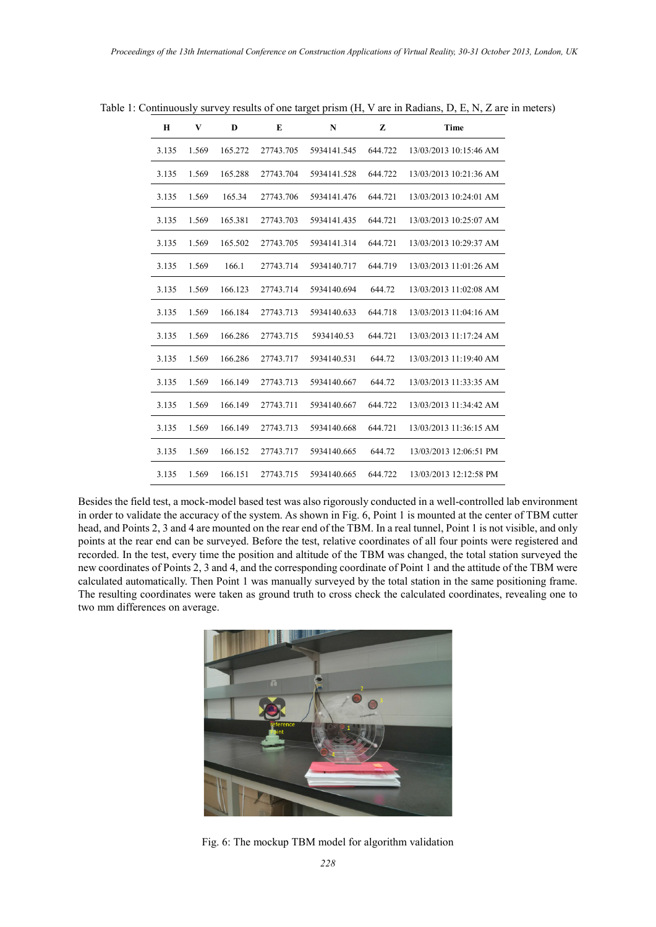| H     | V     | D       | E         | N           | z       | <b>Time</b>            |
|-------|-------|---------|-----------|-------------|---------|------------------------|
| 3.135 | 1.569 | 165.272 | 27743.705 | 5934141.545 | 644.722 | 13/03/2013 10:15:46 AM |
| 3.135 | 1.569 | 165.288 | 27743.704 | 5934141.528 | 644.722 | 13/03/2013 10:21:36 AM |
| 3.135 | 1.569 | 165.34  | 27743.706 | 5934141.476 | 644.721 | 13/03/2013 10:24:01 AM |
| 3.135 | 1.569 | 165.381 | 27743.703 | 5934141.435 | 644.721 | 13/03/2013 10:25:07 AM |
| 3.135 | 1.569 | 165.502 | 27743.705 | 5934141.314 | 644.721 | 13/03/2013 10:29:37 AM |
| 3.135 | 1.569 | 166.1   | 27743.714 | 5934140.717 | 644.719 | 13/03/2013 11:01:26 AM |
| 3.135 | 1.569 | 166.123 | 27743.714 | 5934140.694 | 644.72  | 13/03/2013 11:02:08 AM |
| 3.135 | 1.569 | 166.184 | 27743.713 | 5934140.633 | 644.718 | 13/03/2013 11:04:16 AM |
| 3.135 | 1.569 | 166.286 | 27743.715 | 5934140.53  | 644.721 | 13/03/2013 11:17:24 AM |
| 3.135 | 1.569 | 166.286 | 27743.717 | 5934140.531 | 644.72  | 13/03/2013 11:19:40 AM |
| 3.135 | 1.569 | 166.149 | 27743.713 | 5934140.667 | 644.72  | 13/03/2013 11:33:35 AM |
| 3.135 | 1.569 | 166.149 | 27743.711 | 5934140.667 | 644.722 | 13/03/2013 11:34:42 AM |
| 3.135 | 1.569 | 166.149 | 27743.713 | 5934140.668 | 644.721 | 13/03/2013 11:36:15 AM |
| 3.135 | 1.569 | 166.152 | 27743.717 | 5934140.665 | 644.72  | 13/03/2013 12:06:51 PM |
| 3.135 | 1.569 | 166.151 | 27743.715 | 5934140.665 | 644.722 | 13/03/2013 12:12:58 PM |

<span id="page-9-0"></span>Table 1: Continuously survey results of one target prism (H, V are in Radians, D, E, N, Z are in meters)

Besides the field test, a mock-model based test was also rigorously conducted in a well-controlled lab environment in order to validate the accuracy of the system. As shown in Fig. 6, Point 1 is mounted at the center of TBM cutter head, and Points 2, 3 and 4 are mounted on the rear end of the TBM. In a real tunnel, Point 1 is not visible, and only points at the rear end can be surveyed. Before the test, relative coordinates of all four points were registered and recorded. In the test, every time the position and altitude of the TBM was changed, the total station surveyed the new coordinates of Points 2, 3 and 4, and the corresponding coordinate of Point 1 and the attitude of the TBM were calculated automatically. Then Point 1 was manually surveyed by the total station in the same positioning frame. The resulting coordinates were taken as ground truth to cross check the calculated coordinates, revealing one to two mm differences on average.



Fig. 6: The mockup TBM model for algorithm validation